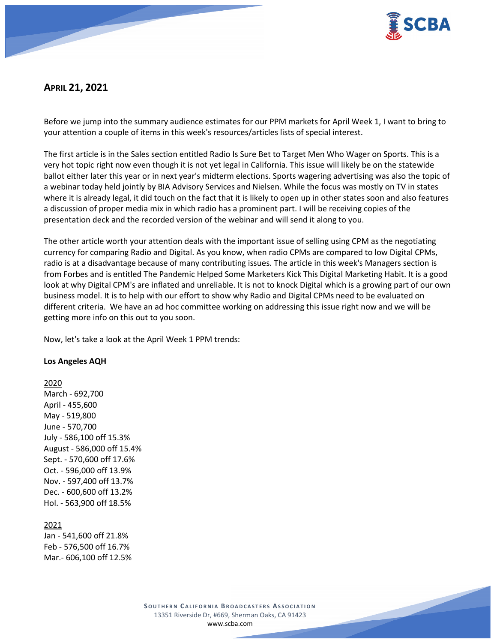

# **APRIL 21, 2021**

Before we jump into the summary audience estimates for our PPM markets for April Week 1, I want to bring to your attention a couple of items in this week's resources/articles lists of special interest.

The first article is in the Sales section entitled Radio Is Sure Bet to Target Men Who Wager on Sports. This is a very hot topic right now even though it is not yet legal in California. This issue will likely be on the statewide ballot either later this year or in next year's midterm elections. Sports wagering advertising was also the topic of a webinar today held jointly by BIA Advisory Services and Nielsen. While the focus was mostly on TV in states where it is already legal, it did touch on the fact that it is likely to open up in other states soon and also features a discussion of proper media mix in which radio has a prominent part. I will be receiving copies of the presentation deck and the recorded version of the webinar and will send it along to you.

The other article worth your attention deals with the important issue of selling using CPM as the negotiating currency for comparing Radio and Digital. As you know, when radio CPMs are compared to low Digital CPMs, radio is at a disadvantage because of many contributing issues. The article in this week's Managers section is from Forbes and is entitled The Pandemic Helped Some Marketers Kick This Digital Marketing Habit. It is a good look at why Digital CPM's are inflated and unreliable. It is not to knock Digital which is a growing part of our own business model. It is to help with our effort to show why Radio and Digital CPMs need to be evaluated on different criteria. We have an ad hoc committee working on addressing this issue right now and we will be getting more info on this out to you soon.

Now, let's take a look at the April Week 1 PPM trends:

### **Los Angeles AQH**

### 2020

March - 692,700 April - 455,600 May - 519,800 June - 570,700 July - 586,100 off 15.3% August - 586,000 off 15.4% Sept. - 570,600 off 17.6% Oct. - 596,000 off 13.9% Nov. - 597,400 off 13.7% Dec. - 600,600 off 13.2% Hol. - 563,900 off 18.5%

## 2021

Jan - 541,600 off 21.8% Feb - 576,500 off 16.7% Mar.- 606,100 off 12.5%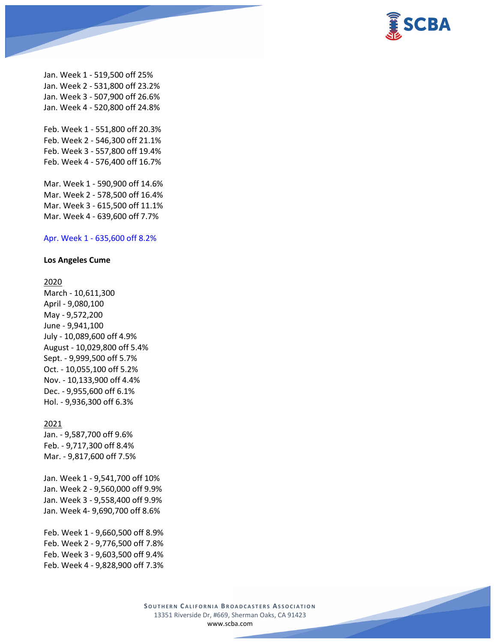

Jan. Week 1 - 519,500 off 25% Jan. Week 2 - 531,800 off 23.2% Jan. Week 3 - 507,900 off 26.6% Jan. Week 4 - 520,800 off 24.8%

Feb. Week 1 - 551,800 off 20.3% Feb. Week 2 - 546,300 off 21.1% Feb. Week 3 - 557,800 off 19.4% Feb. Week 4 - 576,400 off 16.7%

Mar. Week 1 - 590,900 off 14.6% Mar. Week 2 - 578,500 off 16.4% Mar. Week 3 - 615,500 off 11.1% Mar. Week 4 - 639,600 off 7.7%

#### Apr. Week 1 - 635,600 off 8.2%

### **Los Angeles Cume**

#### 2020

March - 10,611,300 April - 9,080,100 May - 9,572,200 June - 9,941,100 July - 10,089,600 off 4.9% August - 10,029,800 off 5.4% Sept. - 9,999,500 off 5.7% Oct. - 10,055,100 off 5.2% Nov. - 10,133,900 off 4.4% Dec. - 9,955,600 off 6.1% Hol. - 9,936,300 off 6.3%

# 2021

Jan. - 9,587,700 off 9.6% Feb. - 9,717,300 off 8.4% Mar. - 9,817,600 off 7.5%

Jan. Week 1 - 9,541,700 off 10% Jan. Week 2 - 9,560,000 off 9.9% Jan. Week 3 - 9,558,400 off 9.9% Jan. Week 4- 9,690,700 off 8.6%

Feb. Week 1 - 9,660,500 off 8.9% Feb. Week 2 - 9,776,500 off 7.8% Feb. Week 3 - 9,603,500 off 9.4% Feb. Week 4 - 9,828,900 off 7.3%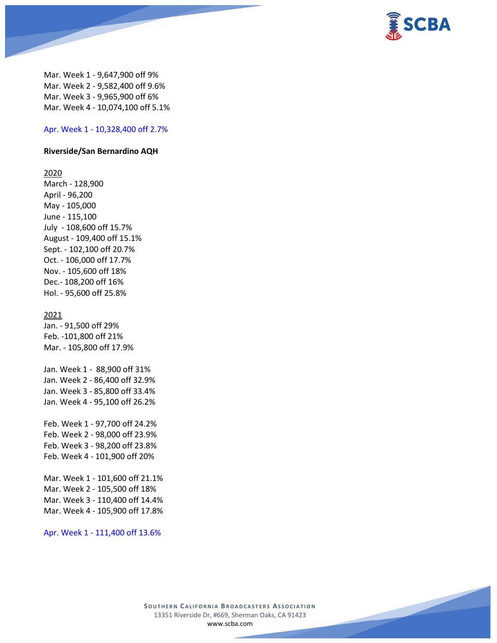

Mar. Week 1 - 9,647,900 off 9% Mar. Week 2 - 9,582,400 off 9.6% Mar. Week 3 - 9,965,900 off 6% Mar. Week 4 - 10,074,100 off 5.1%

### Apr. Week 1 - 10,328,400 off 2.7%

#### **Riverside/San Bernardino AQH**

2020

March - 128,900 April - 96,200 May - 105,000 June - 115,100 July - 108,600 off 15.7% August - 109,400 off 15.1% Sept. - 102,100 off 20.7% Oct. - 106,000 off 17.7% Nov. - 105,600 off 18% Dec.- 108,200 off 16% Hol. - 95,600 off 25.8%

#### 2021

Jan. - 91,500 off 29% Feb. -101,800 off 21% Mar. - 105,800 off 17.9%

Jan. Week 1 - 88,900 off 31% Jan. Week 2 - 86,400 off 32.9% Jan. Week 3 - 85,800 off 33.4% Jan. Week 4 - 95,100 off 26.2%

Feb. Week 1 - 97,700 off 24.2% Feb. Week 2 - 98,000 off 23.9% Feb. Week 3 - 98,200 off 23.8% Feb. Week 4 - 101,900 off 20%

Mar. Week 1 - 101,600 off 21.1% Mar. Week 2 - 105,500 off 18% Mar. Week 3 - 110,400 off 14.4% Mar. Week 4 - 105,900 off 17.8%

Apr. Week 1 - 111,400 off 13.6%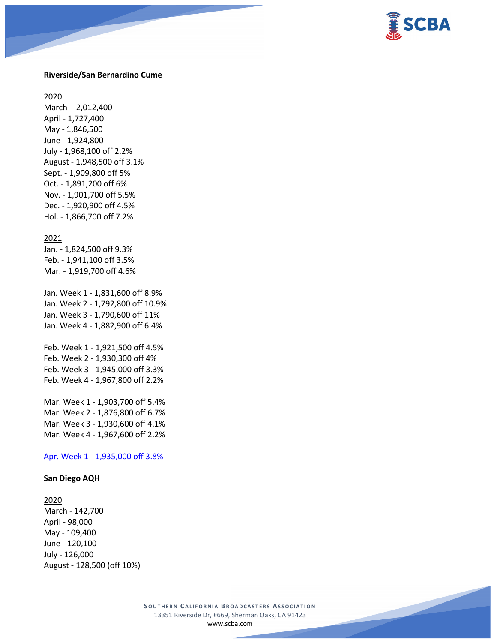

#### **Riverside/San Bernardino Cume**

2020

March - 2,012,400 April - 1,727,400 May - 1,846,500 June - 1,924,800 July - 1,968,100 off 2.2% August - 1,948,500 off 3.1% Sept. - 1,909,800 off 5% Oct. - 1,891,200 off 6% Nov. - 1,901,700 off 5.5% Dec. - 1,920,900 off 4.5% Hol. - 1,866,700 off 7.2%

#### 2021

Jan. - 1,824,500 off 9.3% Feb. - 1,941,100 off 3.5% Mar. - 1,919,700 off 4.6%

Jan. Week 1 - 1,831,600 off 8.9% Jan. Week 2 - 1,792,800 off 10.9% Jan. Week 3 - 1,790,600 off 11% Jan. Week 4 - 1,882,900 off 6.4%

Feb. Week 1 - 1,921,500 off 4.5% Feb. Week 2 - 1,930,300 off 4% Feb. Week 3 - 1,945,000 off 3.3% Feb. Week 4 - 1,967,800 off 2.2%

Mar. Week 1 - 1,903,700 off 5.4% Mar. Week 2 - 1,876,800 off 6.7% Mar. Week 3 - 1,930,600 off 4.1% Mar. Week 4 - 1,967,600 off 2.2%

Apr. Week 1 - 1,935,000 off 3.8%

### **San Diego AQH**

#### 2020

March - 142,700 April - 98,000 May - 109,400 June - 120,100 July - 126,000 August - 128,500 (off 10%)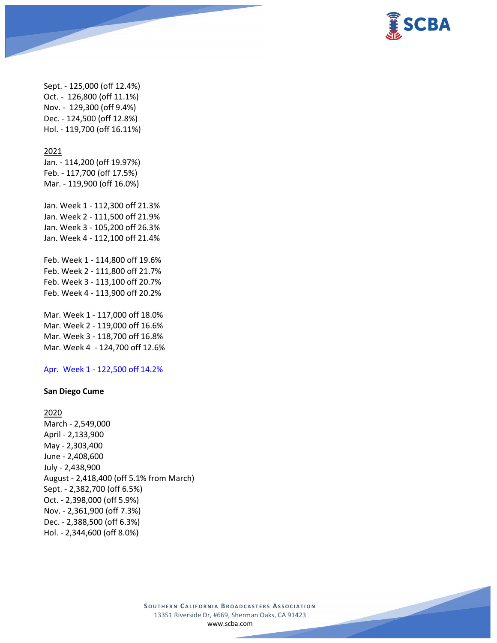

Sept. - 125,000 (off 12.4%) Oct. - 126,800 (off 11.1%) Nov. - 129,300 (off 9.4%) Dec. - 124,500 (off 12.8%) Hol. - 119,700 (off 16.11%)

#### 2021

Jan. - 114,200 (off 19.97%) Feb. - 117,700 (off 17.5%) Mar. - 119,900 (off 16.0%)

Jan. Week 1 - 112,300 off 21.3% Jan. Week 2 - 111,500 off 21.9% Jan. Week 3 - 105,200 off 26.3% Jan. Week 4 - 112,100 off 21.4%

Feb. Week 1 - 114,800 off 19.6% Feb. Week 2 - 111,800 off 21.7% Feb. Week 3 - 113,100 off 20.7% Feb. Week 4 - 113,900 off 20.2%

Mar. Week 1 - 117,000 off 18.0% Mar. Week 2 - 119,000 off 16.6% Mar. Week 3 - 118,700 off 16.8% Mar. Week 4 - 124,700 off 12.6%

Apr. Week 1 - 122,500 off 14.2%

#### **San Diego Cume**

2020 March - 2,549,000 April - 2,133,900 May - 2,303,400 June - 2,408,600 July - 2,438,900 August - 2,418,400 (off 5.1% from March) Sept. - 2,382,700 (off 6.5%) Oct. - 2,398,000 (off 5.9%) Nov. - 2,361,900 (off 7.3%) Dec. - 2,388,500 (off 6.3%) Hol. - 2,344,600 (off 8.0%)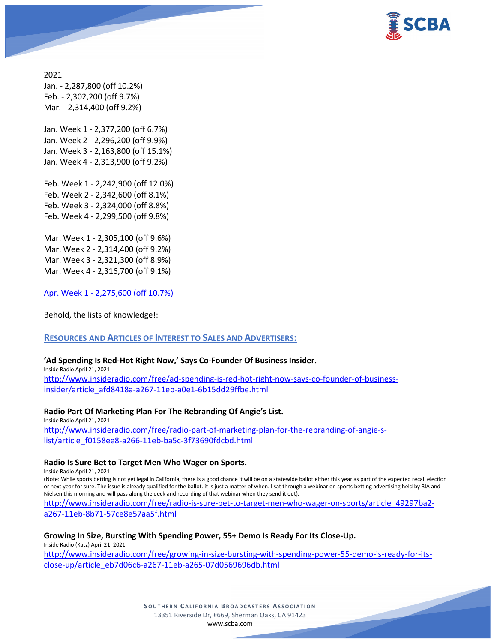

2021 Jan. - 2,287,800 (off 10.2%) Feb. - 2,302,200 (off 9.7%) Mar. - 2,314,400 (off 9.2%)

Jan. Week 1 - 2,377,200 (off 6.7%) Jan. Week 2 - 2,296,200 (off 9.9%) Jan. Week 3 - 2,163,800 (off 15.1%) Jan. Week 4 - 2,313,900 (off 9.2%)

Feb. Week 1 - 2,242,900 (off 12.0%) Feb. Week 2 - 2,342,600 (off 8.1%) Feb. Week 3 - 2,324,000 (off 8.8%) Feb. Week 4 - 2,299,500 (off 9.8%)

Mar. Week 1 - 2,305,100 (off 9.6%) Mar. Week 2 - 2,314,400 (off 9.2%) Mar. Week 3 - 2,321,300 (off 8.9%) Mar. Week 4 - 2,316,700 (off 9.1%)

Apr. Week 1 - 2,275,600 (off 10.7%)

Behold, the lists of knowledge!:

## **RESOURCES AND ARTICLES OF INTEREST TO SALES AND ADVERTISERS:**

### **'Ad Spending Is Red-Hot Right Now,' Says Co-Founder Of Business Insider.**

Inside Radio April 21, 2021 [http://www.insideradio.com/free/ad-spending-is-red-hot-right-now-says-co-founder-of-business](http://www.insideradio.com/free/ad-spending-is-red-hot-right-now-says-co-founder-of-business-insider/article_afd8418a-a267-11eb-a0e1-6b15dd29ffbe.html)[insider/article\\_afd8418a-a267-11eb-a0e1-6b15dd29ffbe.html](http://www.insideradio.com/free/ad-spending-is-red-hot-right-now-says-co-founder-of-business-insider/article_afd8418a-a267-11eb-a0e1-6b15dd29ffbe.html)

**Radio Part Of Marketing Plan For The Rebranding Of Angie's List.**

Inside Radio April 21, 2021 [http://www.insideradio.com/free/radio-part-of-marketing-plan-for-the-rebranding-of-angie-s](http://www.insideradio.com/free/radio-part-of-marketing-plan-for-the-rebranding-of-angie-s-list/article_f0158ee8-a266-11eb-ba5c-3f73690fdcbd.html)[list/article\\_f0158ee8-a266-11eb-ba5c-3f73690fdcbd.html](http://www.insideradio.com/free/radio-part-of-marketing-plan-for-the-rebranding-of-angie-s-list/article_f0158ee8-a266-11eb-ba5c-3f73690fdcbd.html)

### **Radio Is Sure Bet to Target Men Who Wager on Sports.**

Inside Radio April 21, 2021

(Note: While sports betting is not yet legal in California, there is a good chance it will be on a statewide ballot either this year as part of the expected recall election or next year for sure. The issue is already qualified for the ballot. it is just a matter of when. I sat through a webinar on sports betting advertising held by BIA and Nielsen this morning and will pass along the deck and recording of that webinar when they send it out).

[http://www.insideradio.com/free/radio-is-sure-bet-to-target-men-who-wager-on-sports/article\\_49297ba2](http://www.insideradio.com/free/radio-is-sure-bet-to-target-men-who-wager-on-sports/article_49297ba2-a267-11eb-8b71-57ce8e57aa5f.html) [a267-11eb-8b71-57ce8e57aa5f.html](http://www.insideradio.com/free/radio-is-sure-bet-to-target-men-who-wager-on-sports/article_49297ba2-a267-11eb-8b71-57ce8e57aa5f.html)

**Growing In Size, Bursting With Spending Power, 55+ Demo Is Ready For Its Close-Up.** Inside Radio (Katz) April 21, 2021

[http://www.insideradio.com/free/growing-in-size-bursting-with-spending-power-55-demo-is-ready-for-its](http://www.insideradio.com/free/growing-in-size-bursting-with-spending-power-55-demo-is-ready-for-its-close-up/article_eb7d06c6-a267-11eb-a265-07d0569696db.html)[close-up/article\\_eb7d06c6-a267-11eb-a265-07d0569696db.html](http://www.insideradio.com/free/growing-in-size-bursting-with-spending-power-55-demo-is-ready-for-its-close-up/article_eb7d06c6-a267-11eb-a265-07d0569696db.html)

> **SOUTHERN C ALIFORNIA B ROADCASTERS ASSOCIATION** 13351 Riverside Dr, #669, Sherman Oaks, CA 91423 [www.scba.com](http://www.scba.com/)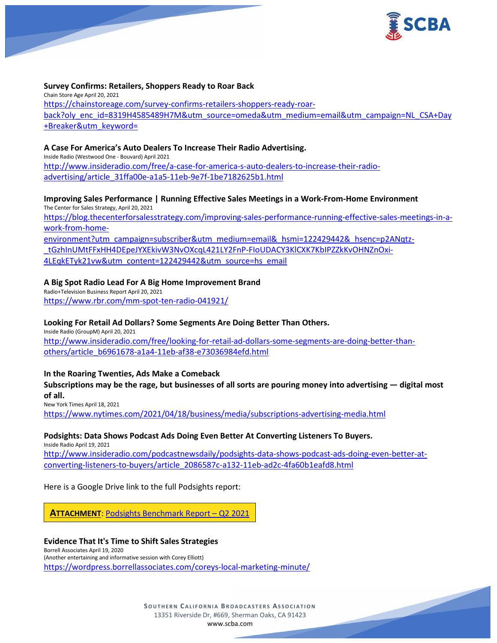

#### **Survey Confirms: Retailers, Shoppers Ready to Roar Back**

Chain Store Age April 20, 2021 [https://chainstoreage.com/survey-confirms-retailers-shoppers-ready-roar](https://chainstoreage.com/survey-confirms-retailers-shoppers-ready-roar-back?oly_enc_id=8319H4585489H7M&utm_source=omeda&utm_medium=email&utm_campaign=NL_CSA+Day+Breaker&utm_keyword=)[back?oly\\_enc\\_id=8319H4585489H7M&utm\\_source=omeda&utm\\_medium=email&utm\\_campaign=NL\\_CSA+Day](https://chainstoreage.com/survey-confirms-retailers-shoppers-ready-roar-back?oly_enc_id=8319H4585489H7M&utm_source=omeda&utm_medium=email&utm_campaign=NL_CSA+Day+Breaker&utm_keyword=) [+Breaker&utm\\_keyword=](https://chainstoreage.com/survey-confirms-retailers-shoppers-ready-roar-back?oly_enc_id=8319H4585489H7M&utm_source=omeda&utm_medium=email&utm_campaign=NL_CSA+Day+Breaker&utm_keyword=)

#### **A Case For America's Auto Dealers To Increase Their Radio Advertising.**

Inside Radio (Westwood One - Bouvard) April 2021 [http://www.insideradio.com/free/a-case-for-america-s-auto-dealers-to-increase-their-radio](http://www.insideradio.com/free/a-case-for-america-s-auto-dealers-to-increase-their-radio-advertising/article_31ffa00e-a1a5-11eb-9e7f-1be7182625b1.html)[advertising/article\\_31ffa00e-a1a5-11eb-9e7f-1be7182625b1.html](http://www.insideradio.com/free/a-case-for-america-s-auto-dealers-to-increase-their-radio-advertising/article_31ffa00e-a1a5-11eb-9e7f-1be7182625b1.html)

## **Improving Sales Performance | Running Effective Sales Meetings in a Work-From-Home Environment**

The Center for Sales Strategy, April 20, 2021 [https://blog.thecenterforsalesstrategy.com/improving-sales-performance-running-effective-sales-meetings-in-a](https://blog.thecenterforsalesstrategy.com/improving-sales-performance-running-effective-sales-meetings-in-a-work-from-home-environment?utm_campaign=subscriber&utm_medium=email&_hsmi=122429442&_hsenc=p2ANqtz-_tGzhInUMtFFxHH4DEpeJYXEkivW3NvOXcqL421LY2FnP-FIoUDACY3KlCXK7KbIPZZkKvOHNZnOxi-4LEqkETyk21vw&utm_content=122429442&utm_source=hs_email)[work-from-home](https://blog.thecenterforsalesstrategy.com/improving-sales-performance-running-effective-sales-meetings-in-a-work-from-home-environment?utm_campaign=subscriber&utm_medium=email&_hsmi=122429442&_hsenc=p2ANqtz-_tGzhInUMtFFxHH4DEpeJYXEkivW3NvOXcqL421LY2FnP-FIoUDACY3KlCXK7KbIPZZkKvOHNZnOxi-4LEqkETyk21vw&utm_content=122429442&utm_source=hs_email)[environment?utm\\_campaign=subscriber&utm\\_medium=email&\\_hsmi=122429442&\\_hsenc=p2ANqtz-](https://blog.thecenterforsalesstrategy.com/improving-sales-performance-running-effective-sales-meetings-in-a-work-from-home-environment?utm_campaign=subscriber&utm_medium=email&_hsmi=122429442&_hsenc=p2ANqtz-_tGzhInUMtFFxHH4DEpeJYXEkivW3NvOXcqL421LY2FnP-FIoUDACY3KlCXK7KbIPZZkKvOHNZnOxi-4LEqkETyk21vw&utm_content=122429442&utm_source=hs_email) [\\_tGzhInUMtFFxHH4DEpeJYXEkivW3NvOXcqL421LY2FnP-FIoUDACY3KlCXK7KbIPZZkKvOHNZnOxi-](https://blog.thecenterforsalesstrategy.com/improving-sales-performance-running-effective-sales-meetings-in-a-work-from-home-environment?utm_campaign=subscriber&utm_medium=email&_hsmi=122429442&_hsenc=p2ANqtz-_tGzhInUMtFFxHH4DEpeJYXEkivW3NvOXcqL421LY2FnP-FIoUDACY3KlCXK7KbIPZZkKvOHNZnOxi-4LEqkETyk21vw&utm_content=122429442&utm_source=hs_email)[4LEqkETyk21vw&utm\\_content=122429442&utm\\_source=hs\\_email](https://blog.thecenterforsalesstrategy.com/improving-sales-performance-running-effective-sales-meetings-in-a-work-from-home-environment?utm_campaign=subscriber&utm_medium=email&_hsmi=122429442&_hsenc=p2ANqtz-_tGzhInUMtFFxHH4DEpeJYXEkivW3NvOXcqL421LY2FnP-FIoUDACY3KlCXK7KbIPZZkKvOHNZnOxi-4LEqkETyk21vw&utm_content=122429442&utm_source=hs_email)

### **A Big Spot Radio Lead For A Big Home Improvement Brand**

Radio+Television Business Report April 20, 2021 <https://www.rbr.com/mm-spot-ten-radio-041921/>

### **Looking For Retail Ad Dollars? Some Segments Are Doing Better Than Others.**

Inside Radio (GroupM) April 20, 2021 [http://www.insideradio.com/free/looking-for-retail-ad-dollars-some-segments-are-doing-better-than](http://www.insideradio.com/free/looking-for-retail-ad-dollars-some-segments-are-doing-better-than-others/article_b6961678-a1a4-11eb-af38-e73036984efd.html)[others/article\\_b6961678-a1a4-11eb-af38-e73036984efd.html](http://www.insideradio.com/free/looking-for-retail-ad-dollars-some-segments-are-doing-better-than-others/article_b6961678-a1a4-11eb-af38-e73036984efd.html)

### **In the Roaring Twenties, Ads Make a Comeback**

**Subscriptions may be the rage, but businesses of all sorts are pouring money into advertising — digital most of all.**

New York Times April 18, 2021 <https://www.nytimes.com/2021/04/18/business/media/subscriptions-advertising-media.html>

### **Podsights: Data Shows Podcast Ads Doing Even Better At Converting Listeners To Buyers.**

Inside Radio April 19, 2021 [http://www.insideradio.com/podcastnewsdaily/podsights-data-shows-podcast-ads-doing-even-better-at](http://www.insideradio.com/podcastnewsdaily/podsights-data-shows-podcast-ads-doing-even-better-at-converting-listeners-to-buyers/article_2086587c-a132-11eb-ad2c-4fa60b1eafd8.html)[converting-listeners-to-buyers/article\\_2086587c-a132-11eb-ad2c-4fa60b1eafd8.html](http://www.insideradio.com/podcastnewsdaily/podsights-data-shows-podcast-ads-doing-even-better-at-converting-listeners-to-buyers/article_2086587c-a132-11eb-ad2c-4fa60b1eafd8.html)

Here is a Google Drive link to the full Podsights report:

**ATTACHMENT**: [Podsights Benchmark Report –](https://scba.com/podsights-benchmark-report-q2-2021/) Q2 2021

### **Evidence That It's Time to Shift Sales Strategies**

Borrell Associates April 19, 2020 (Another entertaining and informative session with Corey Elliott) <https://wordpress.borrellassociates.com/coreys-local-marketing-minute/>

> **SOUTHERN C ALIFORNIA B ROADCASTERS ASSOCIATION** 13351 Riverside Dr, #669, Sherman Oaks, CA 91423 [www.scba.com](http://www.scba.com/)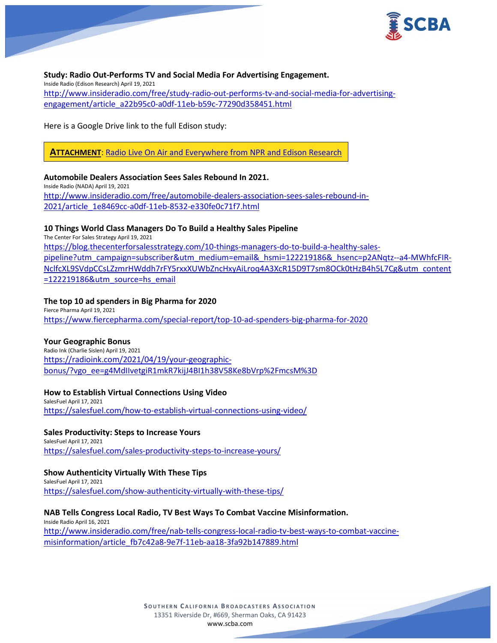

**Study: Radio Out-Performs TV and Social Media For Advertising Engagement.** Inside Radio (Edison Research) April 19, 2021 [http://www.insideradio.com/free/study-radio-out-performs-tv-and-social-media-for-advertising](http://www.insideradio.com/free/study-radio-out-performs-tv-and-social-media-for-advertising-engagement/article_a22b95c0-a0df-11eb-b59c-77290d358451.html)[engagement/article\\_a22b95c0-a0df-11eb-b59c-77290d358451.html](http://www.insideradio.com/free/study-radio-out-performs-tv-and-social-media-for-advertising-engagement/article_a22b95c0-a0df-11eb-b59c-77290d358451.html)

Here is a Google Drive link to the full Edison study:

**ATTACHMENT**: Radio Live On Air [and Everywhere from NPR and Edison Research](https://scba.com/radio-live-on-air-and-everywhere-from-npr-and-edison-research/)

### **Automobile Dealers Association Sees Sales Rebound In 2021.**

Inside Radio (NADA) April 19, 2021 [http://www.insideradio.com/free/automobile-dealers-association-sees-sales-rebound-in-](http://www.insideradio.com/free/automobile-dealers-association-sees-sales-rebound-in-2021/article_1e8469cc-a0df-11eb-8532-e330fe0c71f7.html)[2021/article\\_1e8469cc-a0df-11eb-8532-e330fe0c71f7.html](http://www.insideradio.com/free/automobile-dealers-association-sees-sales-rebound-in-2021/article_1e8469cc-a0df-11eb-8532-e330fe0c71f7.html)

## **10 Things World Class Managers Do To Build a Healthy Sales Pipeline**

The Center For Sales Strategy April 19, 2021 [https://blog.thecenterforsalesstrategy.com/10-things-managers-do-to-build-a-healthy-sales](https://blog.thecenterforsalesstrategy.com/10-things-managers-do-to-build-a-healthy-sales-pipeline?utm_campaign=subscriber&utm_medium=email&_hsmi=122219186&_hsenc=p2ANqtz--a4-MWhfcFIR-NclfcXL9SVdpCCsLZzmrHWddh7rFY5rxxXUWbZncHxyAiLroq4A3XcR15D9T7sm8OCk0tHzB4h5L7Cg&utm_content=122219186&utm_source=hs_email)[pipeline?utm\\_campaign=subscriber&utm\\_medium=email&\\_hsmi=122219186&\\_hsenc=p2ANqtz--a4-MWhfcFIR-](https://blog.thecenterforsalesstrategy.com/10-things-managers-do-to-build-a-healthy-sales-pipeline?utm_campaign=subscriber&utm_medium=email&_hsmi=122219186&_hsenc=p2ANqtz--a4-MWhfcFIR-NclfcXL9SVdpCCsLZzmrHWddh7rFY5rxxXUWbZncHxyAiLroq4A3XcR15D9T7sm8OCk0tHzB4h5L7Cg&utm_content=122219186&utm_source=hs_email)[NclfcXL9SVdpCCsLZzmrHWddh7rFY5rxxXUWbZncHxyAiLroq4A3XcR15D9T7sm8OCk0tHzB4h5L7Cg&utm\\_content](https://blog.thecenterforsalesstrategy.com/10-things-managers-do-to-build-a-healthy-sales-pipeline?utm_campaign=subscriber&utm_medium=email&_hsmi=122219186&_hsenc=p2ANqtz--a4-MWhfcFIR-NclfcXL9SVdpCCsLZzmrHWddh7rFY5rxxXUWbZncHxyAiLroq4A3XcR15D9T7sm8OCk0tHzB4h5L7Cg&utm_content=122219186&utm_source=hs_email) [=122219186&utm\\_source=hs\\_email](https://blog.thecenterforsalesstrategy.com/10-things-managers-do-to-build-a-healthy-sales-pipeline?utm_campaign=subscriber&utm_medium=email&_hsmi=122219186&_hsenc=p2ANqtz--a4-MWhfcFIR-NclfcXL9SVdpCCsLZzmrHWddh7rFY5rxxXUWbZncHxyAiLroq4A3XcR15D9T7sm8OCk0tHzB4h5L7Cg&utm_content=122219186&utm_source=hs_email)

# **The top 10 ad spenders in Big Pharma for 2020**

Fierce Pharma April 19, 2021 <https://www.fiercepharma.com/special-report/top-10-ad-spenders-big-pharma-for-2020>

## **Your Geographic Bonus**

Radio Ink (Charlie Sislen) April 19, 2021 [https://radioink.com/2021/04/19/your-geographic](https://radioink.com/2021/04/19/your-geographic-bonus/?vgo_ee=g4MdIIvetgiR1mkR7kijJ4BI1h38V58Ke8bVrp%2FmcsM%3D)[bonus/?vgo\\_ee=g4MdIIvetgiR1mkR7kijJ4BI1h38V58Ke8bVrp%2FmcsM%3D](https://radioink.com/2021/04/19/your-geographic-bonus/?vgo_ee=g4MdIIvetgiR1mkR7kijJ4BI1h38V58Ke8bVrp%2FmcsM%3D)

## **How to Establish Virtual Connections Using Video**

SalesFuel April 17, 2021 <https://salesfuel.com/how-to-establish-virtual-connections-using-video/>

#### **Sales Productivity: Steps to Increase Yours** SalesFuel April 17, 2021

<https://salesfuel.com/sales-productivity-steps-to-increase-yours/>

## **Show Authenticity Virtually With These Tips**

SalesFuel April 17, 2021 <https://salesfuel.com/show-authenticity-virtually-with-these-tips/>

## **NAB Tells Congress Local Radio, TV Best Ways To Combat Vaccine Misinformation.**

Inside Radio April 16, 2021 [http://www.insideradio.com/free/nab-tells-congress-local-radio-tv-best-ways-to-combat-vaccine](http://www.insideradio.com/free/nab-tells-congress-local-radio-tv-best-ways-to-combat-vaccine-misinformation/article_fb7c42a8-9e7f-11eb-aa18-3fa92b147889.html)[misinformation/article\\_fb7c42a8-9e7f-11eb-aa18-3fa92b147889.html](http://www.insideradio.com/free/nab-tells-congress-local-radio-tv-best-ways-to-combat-vaccine-misinformation/article_fb7c42a8-9e7f-11eb-aa18-3fa92b147889.html)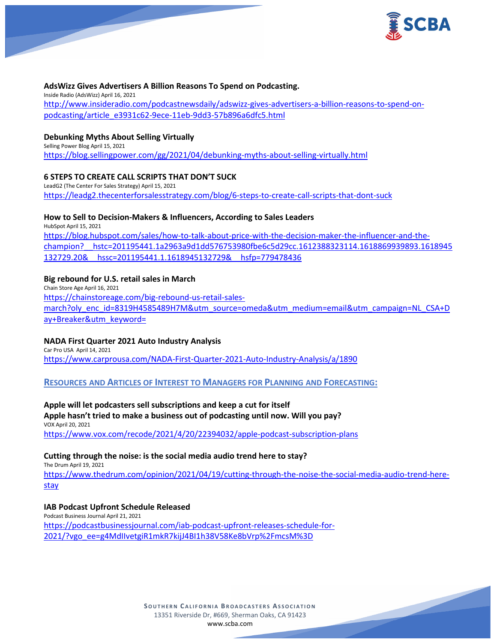

### **AdsWizz Gives Advertisers A Billion Reasons To Spend on Podcasting.**

Inside Radio (AdsWizz) April 16, 2021 [http://www.insideradio.com/podcastnewsdaily/adswizz-gives-advertisers-a-billion-reasons-to-spend-on](http://www.insideradio.com/podcastnewsdaily/adswizz-gives-advertisers-a-billion-reasons-to-spend-on-podcasting/article_e3931c62-9ece-11eb-9dd3-57b896a6dfc5.html)[podcasting/article\\_e3931c62-9ece-11eb-9dd3-57b896a6dfc5.html](http://www.insideradio.com/podcastnewsdaily/adswizz-gives-advertisers-a-billion-reasons-to-spend-on-podcasting/article_e3931c62-9ece-11eb-9dd3-57b896a6dfc5.html)

### **Debunking Myths About Selling Virtually**

Selling Power Blog April 15, 2021 <https://blog.sellingpower.com/gg/2021/04/debunking-myths-about-selling-virtually.html>

### **6 STEPS TO CREATE CALL SCRIPTS THAT DON'T SUCK**

LeadG2 (The Center For Sales Strategy) April 15, 2021 <https://leadg2.thecenterforsalesstrategy.com/blog/6-steps-to-create-call-scripts-that-dont-suck>

### **How to Sell to Decision-Makers & Influencers, According to Sales Leaders**

HubSpot April 15, 2021 [https://blog.hubspot.com/sales/how-to-talk-about-price-with-the-decision-maker-the-influencer-and-the](https://blog.hubspot.com/sales/how-to-talk-about-price-with-the-decision-maker-the-influencer-and-the-champion?__hstc=201195441.1a2963a9d1dd576753980fbe6c5d29cc.1612388323114.1618869939893.1618945132729.20&__hssc=201195441.1.1618945132729&__hsfp=779478436)[champion?\\_\\_hstc=201195441.1a2963a9d1dd576753980fbe6c5d29cc.1612388323114.1618869939893.1618945](https://blog.hubspot.com/sales/how-to-talk-about-price-with-the-decision-maker-the-influencer-and-the-champion?__hstc=201195441.1a2963a9d1dd576753980fbe6c5d29cc.1612388323114.1618869939893.1618945132729.20&__hssc=201195441.1.1618945132729&__hsfp=779478436) [132729.20&\\_\\_hssc=201195441.1.1618945132729&\\_\\_hsfp=779478436](https://blog.hubspot.com/sales/how-to-talk-about-price-with-the-decision-maker-the-influencer-and-the-champion?__hstc=201195441.1a2963a9d1dd576753980fbe6c5d29cc.1612388323114.1618869939893.1618945132729.20&__hssc=201195441.1.1618945132729&__hsfp=779478436)

### **Big rebound for U.S. retail sales in March**

Chain Store Age April 16, 2021 [https://chainstoreage.com/big-rebound-us-retail-sales](https://chainstoreage.com/big-rebound-us-retail-sales-march?oly_enc_id=8319H4585489H7M&utm_source=omeda&utm_medium=email&utm_campaign=NL_CSA+Day+Breaker&utm_keyword=)[march?oly\\_enc\\_id=8319H4585489H7M&utm\\_source=omeda&utm\\_medium=email&utm\\_campaign=NL\\_CSA+D](https://chainstoreage.com/big-rebound-us-retail-sales-march?oly_enc_id=8319H4585489H7M&utm_source=omeda&utm_medium=email&utm_campaign=NL_CSA+Day+Breaker&utm_keyword=) [ay+Breaker&utm\\_keyword=](https://chainstoreage.com/big-rebound-us-retail-sales-march?oly_enc_id=8319H4585489H7M&utm_source=omeda&utm_medium=email&utm_campaign=NL_CSA+Day+Breaker&utm_keyword=)

### **NADA First Quarter 2021 Auto Industry Analysis**

Car Pro USA April 14, 2021 <https://www.carprousa.com/NADA-First-Quarter-2021-Auto-Industry-Analysis/a/1890>

**RESOURCES AND ARTICLES OF INTEREST TO MANAGERS FOR PLANNING AND FORECASTING:**

### **Apple will let podcasters sell subscriptions and keep a cut for itself**

### **Apple hasn't tried to make a business out of podcasting until now. Will you pay?** VOX April 20, 2021

<https://www.vox.com/recode/2021/4/20/22394032/apple-podcast-subscription-plans>

### **Cutting through the noise: is the social media audio trend here to stay?**

The Drum April 19, 2021

[https://www.thedrum.com/opinion/2021/04/19/cutting-through-the-noise-the-social-media-audio-trend-here](https://www.thedrum.com/opinion/2021/04/19/cutting-through-the-noise-the-social-media-audio-trend-here-stay)[stay](https://www.thedrum.com/opinion/2021/04/19/cutting-through-the-noise-the-social-media-audio-trend-here-stay)

# **IAB Podcast Upfront Schedule Released**

Podcast Business Journal April 21, 2021 [https://podcastbusinessjournal.com/iab-podcast-upfront-releases-schedule-for-](https://podcastbusinessjournal.com/iab-podcast-upfront-releases-schedule-for-2021/?vgo_ee=g4MdIIvetgiR1mkR7kijJ4BI1h38V58Ke8bVrp%2FmcsM%3D)[2021/?vgo\\_ee=g4MdIIvetgiR1mkR7kijJ4BI1h38V58Ke8bVrp%2FmcsM%3D](https://podcastbusinessjournal.com/iab-podcast-upfront-releases-schedule-for-2021/?vgo_ee=g4MdIIvetgiR1mkR7kijJ4BI1h38V58Ke8bVrp%2FmcsM%3D)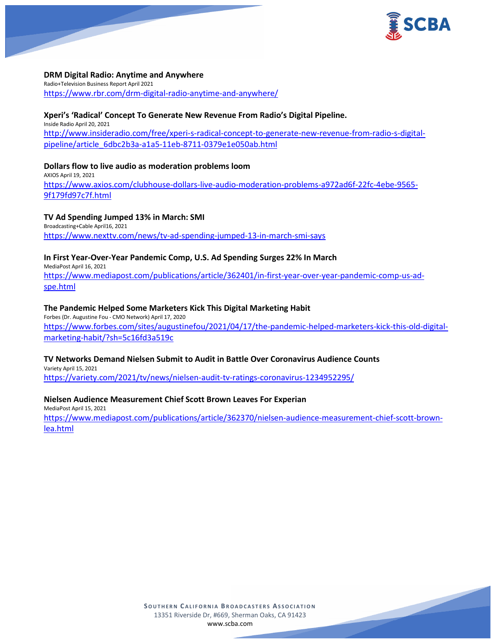

**DRM Digital Radio: Anytime and Anywhere** Radio+Television Business Report April 2021 <https://www.rbr.com/drm-digital-radio-anytime-and-anywhere/>

## **Xperi's 'Radical' Concept To Generate New Revenue From Radio's Digital Pipeline.**

Inside Radio April 20, 2021 [http://www.insideradio.com/free/xperi-s-radical-concept-to-generate-new-revenue-from-radio-s-digital](http://www.insideradio.com/free/xperi-s-radical-concept-to-generate-new-revenue-from-radio-s-digital-pipeline/article_6dbc2b3a-a1a5-11eb-8711-0379e1e050ab.html)[pipeline/article\\_6dbc2b3a-a1a5-11eb-8711-0379e1e050ab.html](http://www.insideradio.com/free/xperi-s-radical-concept-to-generate-new-revenue-from-radio-s-digital-pipeline/article_6dbc2b3a-a1a5-11eb-8711-0379e1e050ab.html)

**Dollars flow to live audio as moderation problems loom** AXIOS April 19, 2021 [https://www.axios.com/clubhouse-dollars-live-audio-moderation-problems-a972ad6f-22fc-4ebe-9565-](https://www.axios.com/clubhouse-dollars-live-audio-moderation-problems-a972ad6f-22fc-4ebe-9565-9f179fd97c7f.html) [9f179fd97c7f.html](https://www.axios.com/clubhouse-dollars-live-audio-moderation-problems-a972ad6f-22fc-4ebe-9565-9f179fd97c7f.html)

# **TV Ad Spending Jumped 13% in March: SMI**

Broadcasting+Cable April16, 2021 <https://www.nexttv.com/news/tv-ad-spending-jumped-13-in-march-smi-says>

# **In First Year-Over-Year Pandemic Comp, U.S. Ad Spending Surges 22% In March**

MediaPost April 16, 2021 [https://www.mediapost.com/publications/article/362401/in-first-year-over-year-pandemic-comp-us-ad](https://www.mediapost.com/publications/article/362401/in-first-year-over-year-pandemic-comp-us-ad-spe.html)[spe.html](https://www.mediapost.com/publications/article/362401/in-first-year-over-year-pandemic-comp-us-ad-spe.html)

# **The Pandemic Helped Some Marketers Kick This Digital Marketing Habit**

Forbes (Dr. Augustine Fou - CMO Network) April 17, 2020 [https://www.forbes.com/sites/augustinefou/2021/04/17/the-pandemic-helped-marketers-kick-this-old-digital](https://www.forbes.com/sites/augustinefou/2021/04/17/the-pandemic-helped-marketers-kick-this-old-digital-marketing-habit/?sh=5c16fd3a519c)[marketing-habit/?sh=5c16fd3a519c](https://www.forbes.com/sites/augustinefou/2021/04/17/the-pandemic-helped-marketers-kick-this-old-digital-marketing-habit/?sh=5c16fd3a519c)

## **TV Networks Demand Nielsen Submit to Audit in Battle Over Coronavirus Audience Counts**

Variety April 15, 2021 <https://variety.com/2021/tv/news/nielsen-audit-tv-ratings-coronavirus-1234952295/>

# **Nielsen Audience Measurement Chief Scott Brown Leaves For Experian**

MediaPost April 15, 2021 [https://www.mediapost.com/publications/article/362370/nielsen-audience-measurement-chief-scott-brown](https://www.mediapost.com/publications/article/362370/nielsen-audience-measurement-chief-scott-brown-lea.html)[lea.html](https://www.mediapost.com/publications/article/362370/nielsen-audience-measurement-chief-scott-brown-lea.html)